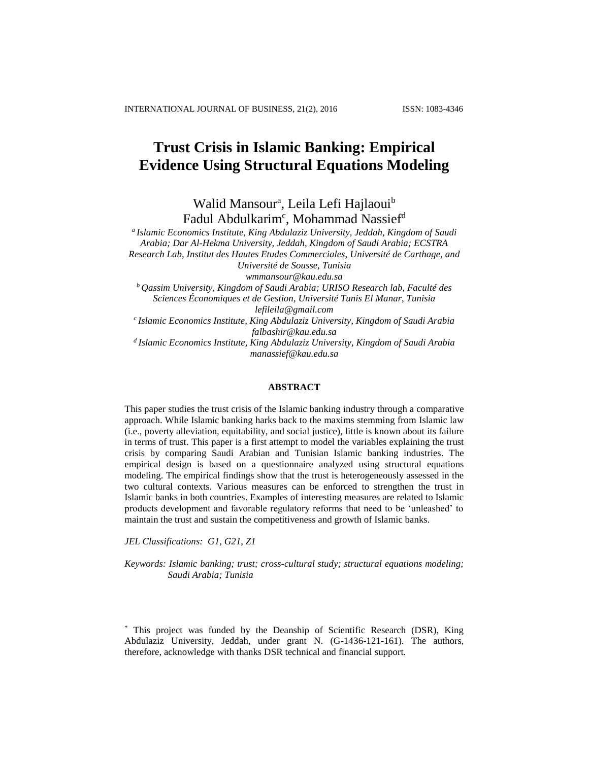# **Trust Crisis in Islamic Banking: Empirical Evidence Using Structural Equations Modeling**

Walid Mansour<sup>a</sup>, Leila Lefi Hajlaoui<sup>b</sup> Fadul Abdulkarim<sup>c</sup>, Mohammad Nassief<sup>d</sup>

*a Islamic Economics Institute, King Abdulaziz University, Jeddah, Kingdom of Saudi Arabia; Dar Al-Hekma University, Jeddah, Kingdom of Saudi Arabia; ECSTRA Research Lab, Institut des Hautes Etudes Commerciales, Université de Carthage, and Université de Sousse, Tunisia wmmansour@kau.edu.sa*

*<sup>b</sup>Qassim University, Kingdom of Saudi Arabia; URISO Research lab, Faculté des Sciences Économiques et de Gestion, Université Tunis El Manar, Tunisia*

*lefileila@gmail.com*

*<sup>c</sup>Islamic Economics Institute, King Abdulaziz University, Kingdom of Saudi Arabia falbashir@kau.edu.sa* 

*<sup>d</sup>Islamic Economics Institute, King Abdulaziz University, Kingdom of Saudi Arabia manassief@kau.edu.sa*

# **ABSTRACT**

This paper studies the trust crisis of the Islamic banking industry through a comparative approach. While Islamic banking harks back to the maxims stemming from Islamic law (i.e., poverty alleviation, equitability, and social justice), little is known about its failure in terms of trust. This paper is a first attempt to model the variables explaining the trust crisis by comparing Saudi Arabian and Tunisian Islamic banking industries. The empirical design is based on a questionnaire analyzed using structural equations modeling. The empirical findings show that the trust is heterogeneously assessed in the two cultural contexts. Various measures can be enforced to strengthen the trust in Islamic banks in both countries. Examples of interesting measures are related to Islamic products development and favorable regulatory reforms that need to be 'unleashed' to maintain the trust and sustain the competitiveness and growth of Islamic banks.

*JEL Classifications: G1, G21, Z1*

*Keywords: Islamic banking; trust; cross-cultural study; structural equations modeling; Saudi Arabia; Tunisia*

<sup>\*</sup> This project was funded by the Deanship of Scientific Research (DSR), King Abdulaziz University, Jeddah, under grant N. (G-1436-121-161). The authors, therefore, acknowledge with thanks DSR technical and financial support.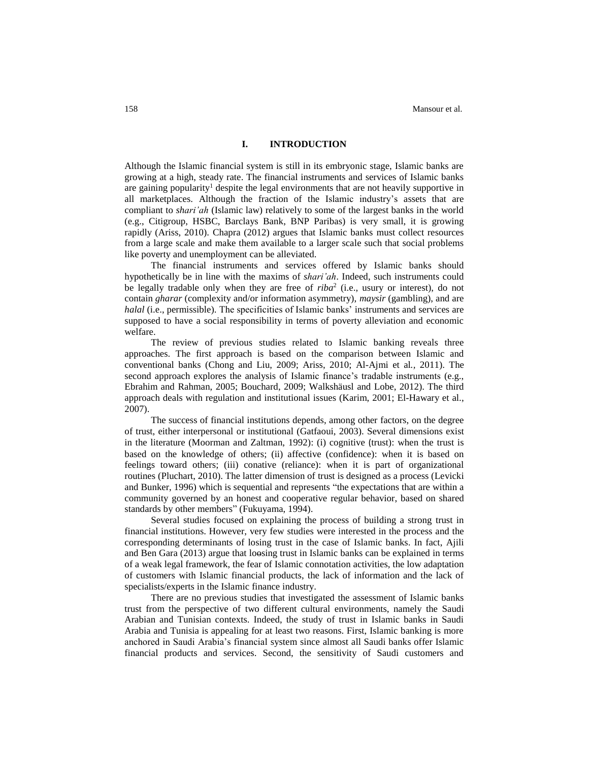# **I. INTRODUCTION**

Although the Islamic financial system is still in its embryonic stage, Islamic banks are growing at a high, steady rate. The financial instruments and services of Islamic banks are gaining popularity<sup>1</sup> despite the legal environments that are not heavily supportive in all marketplaces. Although the fraction of the Islamic industry's assets that are compliant to *shari'ah* (Islamic law) relatively to some of the largest banks in the world (e.g., Citigroup, HSBC, Barclays Bank, BNP Paribas) is very small, it is growing rapidly (Ariss, 2010). Chapra (2012) argues that Islamic banks must collect resources from a large scale and make them available to a larger scale such that social problems like poverty and unemployment can be alleviated.

The financial instruments and services offered by Islamic banks should hypothetically be in line with the maxims of *shari'ah*. Indeed, such instruments could be legally tradable only when they are free of *riba*<sup>2</sup> (i.e., usury or interest), do not contain *gharar* (complexity and/or information asymmetry), *maysir* (gambling), and are *halal* (i.e., permissible). The specificities of Islamic banks' instruments and services are supposed to have a social responsibility in terms of poverty alleviation and economic welfare.

The review of previous studies related to Islamic banking reveals three approaches. The first approach is based on the comparison between Islamic and conventional banks (Chong and Liu, 2009; Ariss, 2010; Al-Ajmi et al*.,* 2011). The second approach explores the analysis of Islamic finance's tradable instruments (e.g., Ebrahim and Rahman, 2005; Bouchard, 2009; Walkshäusl and Lobe, 2012). The third approach deals with regulation and institutional issues (Karim, 2001; El-Hawary et al., 2007).

The success of financial institutions depends, among other factors, on the degree of trust, either interpersonal or institutional (Gatfaoui, 2003). Several dimensions exist in the literature (Moorman and Zaltman, 1992): (i) cognitive (trust): when the trust is based on the knowledge of others; (ii) affective (confidence): when it is based on feelings toward others; (iii) conative (reliance): when it is part of organizational routines (Pluchart, 2010). The latter dimension of trust is designed as a process (Levicki and Bunker, 1996) which is sequential and represents "the expectations that are within a community governed by an honest and cooperative regular behavior, based on shared standards by other members" (Fukuyama, 1994).

Several studies focused on explaining the process of building a strong trust in financial institutions. However, very few studies were interested in the process and the corresponding determinants of losing trust in the case of Islamic banks. In fact, Ajili and Ben Gara (2013) argue that loosing trust in Islamic banks can be explained in terms of a weak legal framework, the fear of Islamic connotation activities, the low adaptation of customers with Islamic financial products, the lack of information and the lack of specialists/experts in the Islamic finance industry.

There are no previous studies that investigated the assessment of Islamic banks trust from the perspective of two different cultural environments, namely the Saudi Arabian and Tunisian contexts. Indeed, the study of trust in Islamic banks in Saudi Arabia and Tunisia is appealing for at least two reasons. First, Islamic banking is more anchored in Saudi Arabia's financial system since almost all Saudi banks offer Islamic financial products and services. Second, the sensitivity of Saudi customers and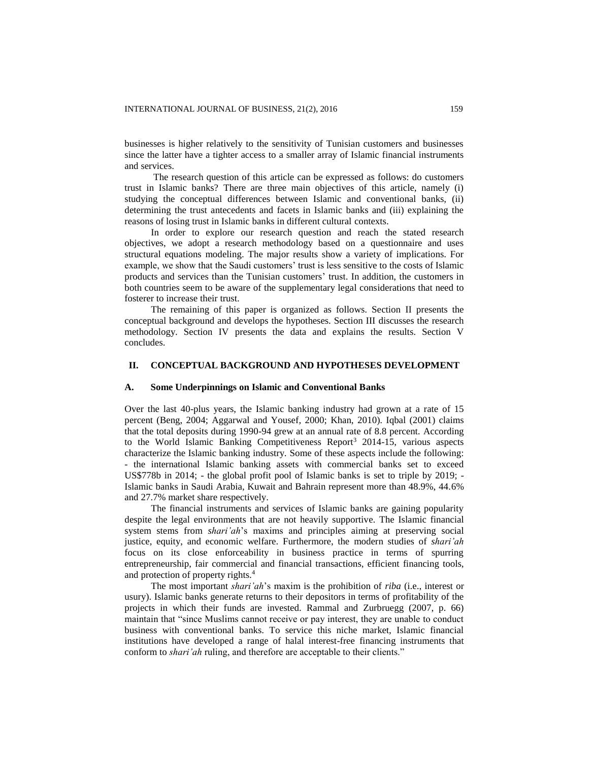businesses is higher relatively to the sensitivity of Tunisian customers and businesses since the latter have a tighter access to a smaller array of Islamic financial instruments and services.

The research question of this article can be expressed as follows: do customers trust in Islamic banks? There are three main objectives of this article, namely (i) studying the conceptual differences between Islamic and conventional banks, (ii) determining the trust antecedents and facets in Islamic banks and (iii) explaining the reasons of losing trust in Islamic banks in different cultural contexts.

In order to explore our research question and reach the stated research objectives, we adopt a research methodology based on a questionnaire and uses structural equations modeling. The major results show a variety of implications. For example, we show that the Saudi customers' trust is less sensitive to the costs of Islamic products and services than the Tunisian customers' trust. In addition, the customers in both countries seem to be aware of the supplementary legal considerations that need to fosterer to increase their trust.

The remaining of this paper is organized as follows. Section II presents the conceptual background and develops the hypotheses. Section III discusses the research methodology. Section IV presents the data and explains the results. Section V concludes.

# **II. CONCEPTUAL BACKGROUND AND HYPOTHESES DEVELOPMENT**

#### **A. Some Underpinnings on Islamic and Conventional Banks**

Over the last 40-plus years, the Islamic banking industry had grown at a rate of 15 percent (Beng, 2004; Aggarwal and Yousef, 2000; Khan, 2010). Iqbal (2001) claims that the total deposits during 1990-94 grew at an annual rate of 8.8 percent. According to the World Islamic Banking Competitiveness Report<sup>3</sup> 2014-15, various aspects characterize the Islamic banking industry. Some of these aspects include the following: - the international Islamic banking assets with commercial banks set to exceed US\$778b in 2014; - the global profit pool of Islamic banks is set to triple by 2019; - Islamic banks in Saudi Arabia, Kuwait and Bahrain represent more than 48.9%, 44.6% and 27.7% market share respectively.

The financial instruments and services of Islamic banks are gaining popularity despite the legal environments that are not heavily supportive. The Islamic financial system stems from *shari'ah*'s maxims and principles aiming at preserving social justice, equity, and economic welfare. Furthermore, the modern studies of *shari'ah* focus on its close enforceability in business practice in terms of spurring entrepreneurship, fair commercial and financial transactions, efficient financing tools, and protection of property rights.<sup>4</sup>

The most important *shari'ah*'s maxim is the prohibition of *riba* (i.e., interest or usury). Islamic banks generate returns to their depositors in terms of profitability of the projects in which their funds are invested. Rammal and Zurbruegg (2007, p. 66) maintain that "since Muslims cannot receive or pay interest, they are unable to conduct business with conventional banks. To service this niche market, Islamic financial institutions have developed a range of halal interest-free financing instruments that conform to *shari'ah* ruling, and therefore are acceptable to their clients."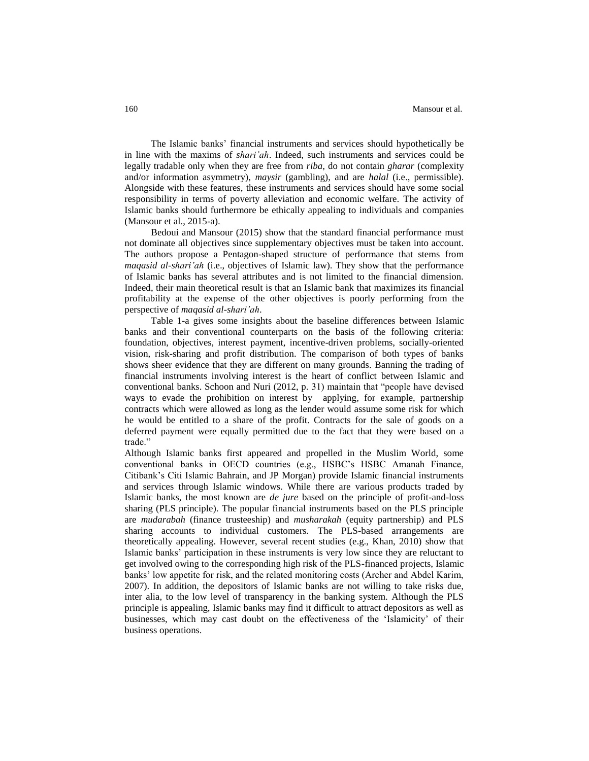The Islamic banks' financial instruments and services should hypothetically be in line with the maxims of *shari'ah*. Indeed, such instruments and services could be legally tradable only when they are free from *riba*, do not contain *gharar* (complexity and/or information asymmetry), *maysir* (gambling), and are *halal* (i.e., permissible). Alongside with these features, these instruments and services should have some social responsibility in terms of poverty alleviation and economic welfare. The activity of Islamic banks should furthermore be ethically appealing to individuals and companies (Mansour et al., 2015-a).

Bedoui and Mansour (2015) show that the standard financial performance must not dominate all objectives since supplementary objectives must be taken into account. The authors propose a Pentagon-shaped structure of performance that stems from *maqasid al-shari'ah* (i.e., objectives of Islamic law). They show that the performance of Islamic banks has several attributes and is not limited to the financial dimension. Indeed, their main theoretical result is that an Islamic bank that maximizes its financial profitability at the expense of the other objectives is poorly performing from the perspective of *maqasid al-shari'ah*.

Table 1-a gives some insights about the baseline differences between Islamic banks and their conventional counterparts on the basis of the following criteria: foundation, objectives, interest payment, incentive-driven problems, socially-oriented vision, risk-sharing and profit distribution. The comparison of both types of banks shows sheer evidence that they are different on many grounds. Banning the trading of financial instruments involving interest is the heart of conflict between Islamic and conventional banks. Schoon and Nuri (2012, p. 31) maintain that "people have devised ways to evade the prohibition on interest by applying, for example, partnership contracts which were allowed as long as the lender would assume some risk for which he would be entitled to a share of the profit. Contracts for the sale of goods on a deferred payment were equally permitted due to the fact that they were based on a trade."

Although Islamic banks first appeared and propelled in the Muslim World, some conventional banks in OECD countries (e.g., HSBC's HSBC Amanah Finance, Citibank's Citi Islamic Bahrain, and JP Morgan) provide Islamic financial instruments and services through Islamic windows. While there are various products traded by Islamic banks, the most known are *de jure* based on the principle of profit-and-loss sharing (PLS principle). The popular financial instruments based on the PLS principle are *mudarabah* (finance trusteeship) and *musharakah* (equity partnership) and PLS sharing accounts to individual customers. The PLS-based arrangements are theoretically appealing. However, several recent studies (e.g., Khan, 2010) show that Islamic banks' participation in these instruments is very low since they are reluctant to get involved owing to the corresponding high risk of the PLS-financed projects, Islamic banks' low appetite for risk, and the related monitoring costs (Archer and Abdel Karim, 2007). In addition, the depositors of Islamic banks are not willing to take risks due, inter alia, to the low level of transparency in the banking system. Although the PLS principle is appealing, Islamic banks may find it difficult to attract depositors as well as businesses, which may cast doubt on the effectiveness of the 'Islamicity' of their business operations.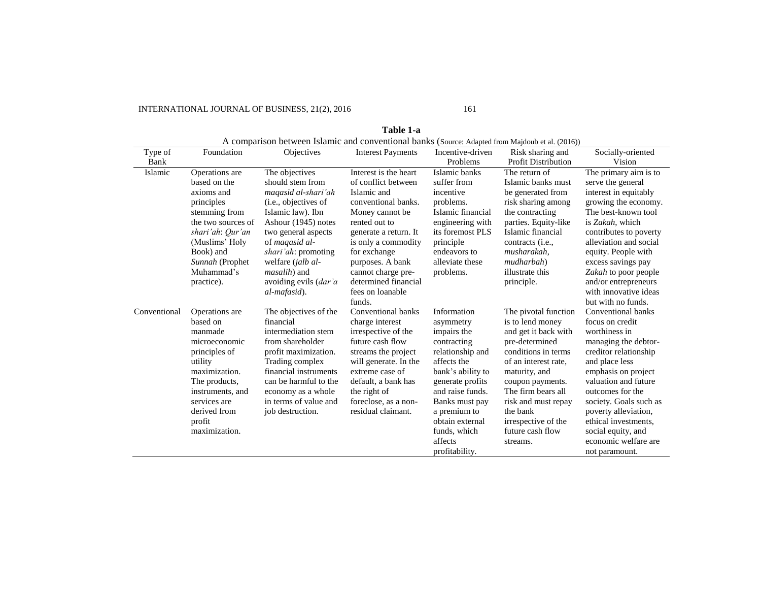# INTERNATIONAL JOURNAL OF BUSINESS, 21(2), 2016 161

|                 | A comparison between Islamic and conventional banks (Source: Adapted from Majdoub et al. (2016)) |                               |                          |                              |                                                |                             |  |  |
|-----------------|--------------------------------------------------------------------------------------------------|-------------------------------|--------------------------|------------------------------|------------------------------------------------|-----------------------------|--|--|
| Type of<br>Bank | Foundation                                                                                       | Objectives                    | <b>Interest Payments</b> | Incentive-driven<br>Problems | Risk sharing and<br><b>Profit Distribution</b> | Socially-oriented<br>Vision |  |  |
|                 |                                                                                                  |                               |                          |                              |                                                |                             |  |  |
| Islamic         | Operations are                                                                                   | The objectives                | Interest is the heart    | Islamic banks                | The return of                                  | The primary aim is to       |  |  |
|                 | based on the                                                                                     | should stem from              | of conflict between      | suffer from                  | Islamic banks must                             | serve the general           |  |  |
|                 | axioms and                                                                                       | magasid al-shari'ah           | Islamic and              | incentive                    | be generated from                              | interest in equitably       |  |  |
|                 | principles                                                                                       | ( <i>i.e.</i> , objectives of | conventional banks.      | problems.                    | risk sharing among                             | growing the economy.        |  |  |
|                 | stemming from                                                                                    | Islamic law). Ibn             | Money cannot be          | Islamic financial            | the contracting                                | The best-known tool         |  |  |
|                 | the two sources of                                                                               | Ashour (1945) notes           | rented out to            | engineering with             | parties. Equity-like                           | is Zakah, which             |  |  |
|                 | shari'ah: Qur'an                                                                                 | two general aspects           | generate a return. It    | its foremost PLS             | Islamic financial                              | contributes to poverty      |  |  |
|                 | (Muslims' Holy                                                                                   | of magasid al-                | is only a commodity      | principle                    | contracts ( <i>i.e.</i> ,                      | alleviation and social      |  |  |
|                 | Book) and                                                                                        | <i>shari'ah</i> : promoting   | for exchange             | endeavors to                 | musharakah,                                    | equity. People with         |  |  |
|                 | Sunnah (Prophet                                                                                  | welfare ( <i>jalb al-</i>     | purposes. A bank         | alleviate these              | mudharbah)                                     | excess savings pay          |  |  |
|                 | Muhammad's                                                                                       | <i>masalih</i> ) and          | cannot charge pre-       | problems.                    | illustrate this                                | Zakah to poor people        |  |  |
|                 | practice).                                                                                       | avoiding evils ( <i>dar'a</i> | determined financial     |                              | principle.                                     | and/or entrepreneurs        |  |  |
|                 |                                                                                                  | al-mafasid).                  | fees on loanable         |                              |                                                | with innovative ideas       |  |  |
|                 |                                                                                                  |                               | funds.                   |                              |                                                | but with no funds.          |  |  |
| Conventional    | Operations are                                                                                   | The objectives of the         | Conventional banks       | Information                  | The pivotal function                           | Conventional banks          |  |  |
|                 | based on                                                                                         | financial                     | charge interest          | asymmetry                    | is to lend money                               | focus on credit             |  |  |
|                 | manmade                                                                                          | intermediation stem           | irrespective of the      | impairs the                  | and get it back with                           | worthiness in               |  |  |
|                 | microeconomic                                                                                    | from shareholder              | future cash flow         | contracting                  | pre-determined                                 | managing the debtor-        |  |  |
|                 | principles of                                                                                    | profit maximization.          | streams the project      | relationship and             | conditions in terms                            | creditor relationship       |  |  |
|                 | utility                                                                                          | Trading complex               | will generate. In the    | affects the                  | of an interest rate,                           | and place less              |  |  |
|                 | maximization.                                                                                    | financial instruments         | extreme case of          | bank's ability to            | maturity, and                                  | emphasis on project         |  |  |
|                 | The products,                                                                                    | can be harmful to the         | default, a bank has      | generate profits             | coupon payments.                               | valuation and future        |  |  |
|                 | instruments, and                                                                                 | economy as a whole            | the right of             | and raise funds.             | The firm bears all                             | outcomes for the            |  |  |
|                 | services are                                                                                     | in terms of value and         | foreclose, as a non-     | Banks must pay               | risk and must repay                            | society. Goals such as      |  |  |
|                 | derived from                                                                                     | job destruction.              | residual claimant.       | a premium to                 | the bank                                       | poverty alleviation,        |  |  |
|                 | profit                                                                                           |                               |                          | obtain external              | irrespective of the                            | ethical investments,        |  |  |
|                 | maximization.                                                                                    |                               |                          | funds, which                 | future cash flow                               | social equity, and          |  |  |
|                 |                                                                                                  |                               |                          | affects                      | streams.                                       | economic welfare are        |  |  |
|                 |                                                                                                  |                               |                          | profitability.               |                                                | not paramount.              |  |  |

**Table 1-a**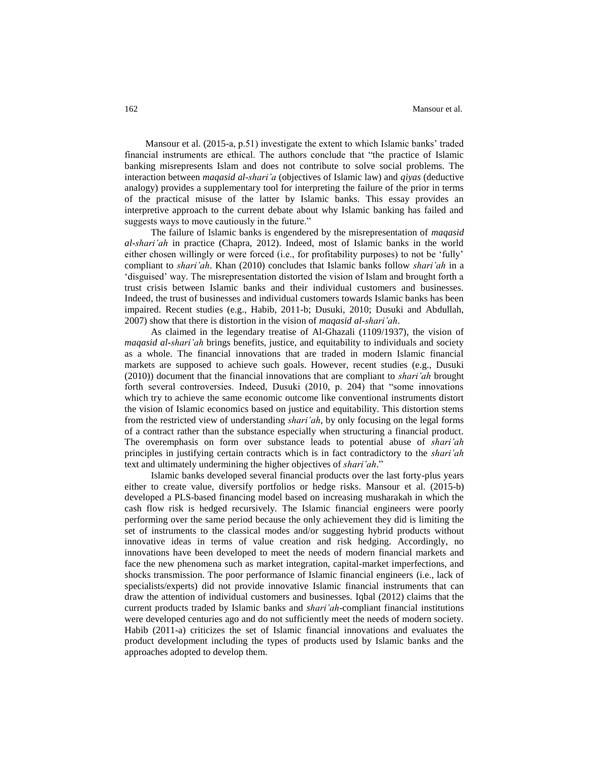Mansour et al. (2015-a, p.51) investigate the extent to which Islamic banks' traded financial instruments are ethical. The authors conclude that "the practice of Islamic banking misrepresents Islam and does not contribute to solve social problems. The interaction between *maqasid al-shari'a* (objectives of Islamic law) and *qiyas* (deductive analogy) provides a supplementary tool for interpreting the failure of the prior in terms of the practical misuse of the latter by Islamic banks. This essay provides an interpretive approach to the current debate about why Islamic banking has failed and suggests ways to move cautiously in the future."

The failure of Islamic banks is engendered by the misrepresentation of *maqasid al-shari'ah* in practice (Chapra, 2012). Indeed, most of Islamic banks in the world either chosen willingly or were forced (i.e., for profitability purposes) to not be 'fully' compliant to *shari'ah*. Khan (2010) concludes that Islamic banks follow *shari'ah* in a 'disguised' way. The misrepresentation distorted the vision of Islam and brought forth a trust crisis between Islamic banks and their individual customers and businesses. Indeed, the trust of businesses and individual customers towards Islamic banks has been impaired. Recent studies (e.g., Habib, 2011-b; Dusuki, 2010; Dusuki and Abdullah, 2007) show that there is distortion in the vision of *maqasid al-shari'ah*.

As claimed in the legendary treatise of Al-Ghazali (1109/1937), the vision of *maqasid al-shari'ah* brings benefits, justice, and equitability to individuals and society as a whole. The financial innovations that are traded in modern Islamic financial markets are supposed to achieve such goals. However, recent studies (e.g., Dusuki (2010)) document that the financial innovations that are compliant to *shari'ah* brought forth several controversies. Indeed, Dusuki (2010, p. 204) that "some innovations which try to achieve the same economic outcome like conventional instruments distort the vision of Islamic economics based on justice and equitability. This distortion stems from the restricted view of understanding *shari'ah*, by only focusing on the legal forms of a contract rather than the substance especially when structuring a financial product. The overemphasis on form over substance leads to potential abuse of *shari'ah* principles in justifying certain contracts which is in fact contradictory to the *shari'ah* text and ultimately undermining the higher objectives of *shari'ah*."

Islamic banks developed several financial products over the last forty-plus years either to create value, diversify portfolios or hedge risks. Mansour et al. (2015-b) developed a PLS-based financing model based on increasing musharakah in which the cash flow risk is hedged recursively. The Islamic financial engineers were poorly performing over the same period because the only achievement they did is limiting the set of instruments to the classical modes and/or suggesting hybrid products without innovative ideas in terms of value creation and risk hedging. Accordingly, no innovations have been developed to meet the needs of modern financial markets and face the new phenomena such as market integration, capital-market imperfections, and shocks transmission. The poor performance of Islamic financial engineers (i.e., lack of specialists/experts) did not provide innovative Islamic financial instruments that can draw the attention of individual customers and businesses. Iqbal (2012) claims that the current products traded by Islamic banks and *shari'ah*-compliant financial institutions were developed centuries ago and do not sufficiently meet the needs of modern society. Habib (2011-a) criticizes the set of Islamic financial innovations and evaluates the product development including the types of products used by Islamic banks and the approaches adopted to develop them.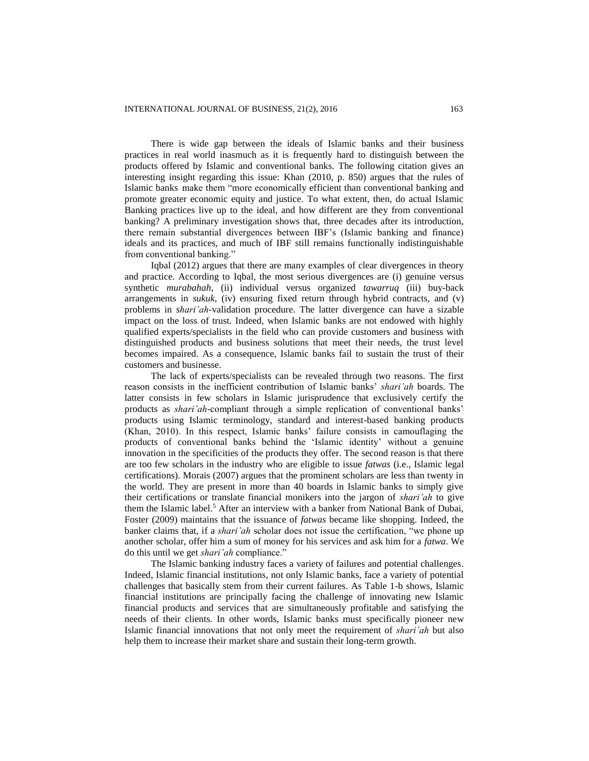There is wide gap between the ideals of Islamic banks and their business practices in real world inasmuch as it is frequently hard to distinguish between the products offered by Islamic and conventional banks. The following citation gives an interesting insight regarding this issue: Khan (2010, p. 850) argues that the rules of Islamic banks make them "more economically efficient than conventional banking and promote greater economic equity and justice. To what extent, then, do actual Islamic Banking practices live up to the ideal, and how different are they from conventional banking? A preliminary investigation shows that, three decades after its introduction, there remain substantial divergences between IBF's (Islamic banking and finance) ideals and its practices, and much of IBF still remains functionally indistinguishable from conventional banking."

Iqbal (2012) argues that there are many examples of clear divergences in theory and practice. According to Iqbal, the most serious divergences are (i) genuine versus synthetic *murabahah*, (ii) individual versus organized *tawarruq* (iii) buy-back arrangements in *sukuk*, (iv) ensuring fixed return through hybrid contracts, and (v) problems in *shari'ah*-validation procedure. The latter divergence can have a sizable impact on the loss of trust. Indeed, when Islamic banks are not endowed with highly qualified experts/specialists in the field who can provide customers and business with distinguished products and business solutions that meet their needs, the trust level becomes impaired. As a consequence, Islamic banks fail to sustain the trust of their customers and businesse.

The lack of experts/specialists can be revealed through two reasons. The first reason consists in the inefficient contribution of Islamic banks' *shari'ah* boards. The latter consists in few scholars in Islamic jurisprudence that exclusively certify the products as *shari'ah*-compliant through a simple replication of conventional banks' products using Islamic terminology, standard and interest-based banking products (Khan, 2010). In this respect, Islamic banks' failure consists in camouflaging the products of conventional banks behind the 'Islamic identity' without a genuine innovation in the specificities of the products they offer. The second reason is that there are too few scholars in the industry who are eligible to issue *fatwas* (i.e., Islamic legal certifications). Morais (2007) argues that the prominent scholars are less than twenty in the world. They are present in more than 40 boards in Islamic banks to simply give their certifications or translate financial monikers into the jargon of *shari'ah* to give them the Islamic label.<sup>5</sup> After an interview with a banker from National Bank of Dubai, Foster (2009) maintains that the issuance of *fatwas* became like shopping. Indeed, the banker claims that, if a *shari'ah* scholar does not issue the certification, "we phone up another scholar, offer him a sum of money for his services and ask him for a *fatwa*. We do this until we get *shari'ah* compliance."

The Islamic banking industry faces a variety of failures and potential challenges. Indeed, Islamic financial institutions, not only Islamic banks, face a variety of potential challenges that basically stem from their current failures. As Table 1-b shows, Islamic financial institutions are principally facing the challenge of innovating new Islamic financial products and services that are simultaneously profitable and satisfying the needs of their clients. In other words, Islamic banks must specifically pioneer new Islamic financial innovations that not only meet the requirement of *shari'ah* but also help them to increase their market share and sustain their long-term growth.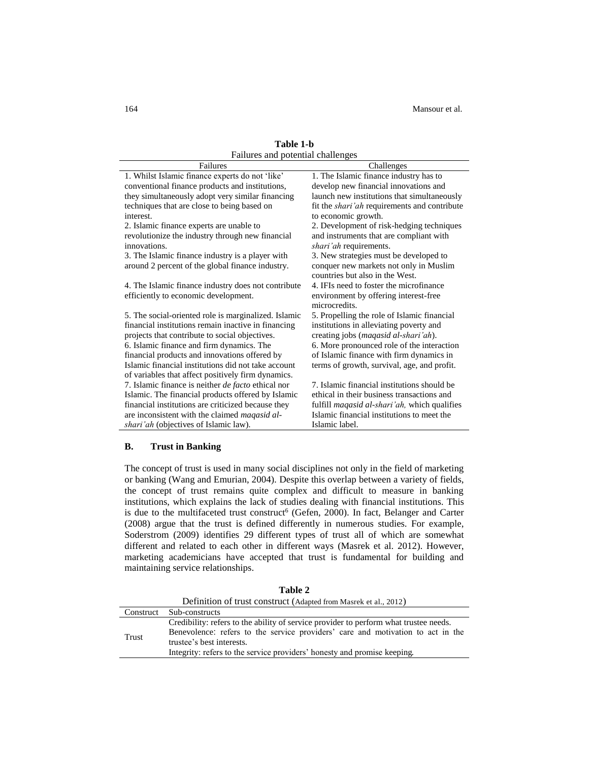| Failures and potential challenges                         |                                                      |  |  |  |  |  |
|-----------------------------------------------------------|------------------------------------------------------|--|--|--|--|--|
| Failures                                                  | Challenges                                           |  |  |  |  |  |
| 1. Whilst Islamic finance experts do not 'like'           | 1. The Islamic finance industry has to               |  |  |  |  |  |
| conventional finance products and institutions,           | develop new financial innovations and                |  |  |  |  |  |
| they simultaneously adopt very similar financing          | launch new institutions that simultaneously          |  |  |  |  |  |
| techniques that are close to being based on               | fit the <i>shari'ah</i> requirements and contribute  |  |  |  |  |  |
| interest.                                                 | to economic growth.                                  |  |  |  |  |  |
| 2. Islamic finance experts are unable to                  | 2. Development of risk-hedging techniques            |  |  |  |  |  |
| revolutionize the industry through new financial          | and instruments that are compliant with              |  |  |  |  |  |
| innovations.                                              | shari'ah requirements.                               |  |  |  |  |  |
| 3. The Islamic finance industry is a player with          | 3. New strategies must be developed to               |  |  |  |  |  |
| around 2 percent of the global finance industry.          | conquer new markets not only in Muslim               |  |  |  |  |  |
|                                                           | countries but also in the West.                      |  |  |  |  |  |
| 4. The Islamic finance industry does not contribute       | 4. IFIs need to foster the microfinance              |  |  |  |  |  |
| efficiently to economic development.                      | environment by offering interest-free                |  |  |  |  |  |
|                                                           | microcredits.                                        |  |  |  |  |  |
| 5. The social-oriented role is marginalized. Islamic      | 5. Propelling the role of Islamic financial          |  |  |  |  |  |
| financial institutions remain inactive in financing       | institutions in alleviating poverty and              |  |  |  |  |  |
| projects that contribute to social objectives.            | creating jobs (maqasid al-shari'ah).                 |  |  |  |  |  |
| 6. Islamic finance and firm dynamics. The                 | 6. More pronounced role of the interaction           |  |  |  |  |  |
| financial products and innovations offered by             | of Islamic finance with firm dynamics in             |  |  |  |  |  |
| Islamic financial institutions did not take account       | terms of growth, survival, age, and profit.          |  |  |  |  |  |
| of variables that affect positively firm dynamics.        |                                                      |  |  |  |  |  |
| 7. Islamic finance is neither <i>de facto</i> ethical nor | 7. Islamic financial institutions should be          |  |  |  |  |  |
| Islamic. The financial products offered by Islamic        | ethical in their business transactions and           |  |  |  |  |  |
| financial institutions are criticized because they        | fulfill <i>maqasid al-shari'ah</i> , which qualifies |  |  |  |  |  |
| are inconsistent with the claimed <i>magasid al-</i>      | Islamic financial institutions to meet the           |  |  |  |  |  |
| shari'ah (objectives of Islamic law).                     | Islamic label.                                       |  |  |  |  |  |

**Table 1-b**

# **B. Trust in Banking**

The concept of trust is used in many social disciplines not only in the field of marketing or banking (Wang and Emurian, 2004). Despite this overlap between a variety of fields, the concept of trust remains quite complex and difficult to measure in banking institutions, which explains the lack of studies dealing with financial institutions. This is due to the multifaceted trust construct<sup>6</sup> (Gefen, 2000). In fact, Belanger and Carter (2008) argue that the trust is defined differently in numerous studies. For example, Soderstrom (2009) identifies 29 different types of trust all of which are somewhat different and related to each other in different ways (Masrek et al. 2012). However, marketing academicians have accepted that trust is fundamental for building and maintaining service relationships.

|           | Definition of trust construct (Adapted from Masrek et al., 2012)                                                                                                                                                                                                                  |
|-----------|-----------------------------------------------------------------------------------------------------------------------------------------------------------------------------------------------------------------------------------------------------------------------------------|
| Construct | Sub-constructs                                                                                                                                                                                                                                                                    |
| Trust     | Credibility: refers to the ability of service provider to perform what trustee needs.<br>Benevolence: refers to the service providers' care and motivation to act in the<br>trustee's best interests.<br>Integrity: refers to the service providers' honesty and promise keeping. |

**Table 2**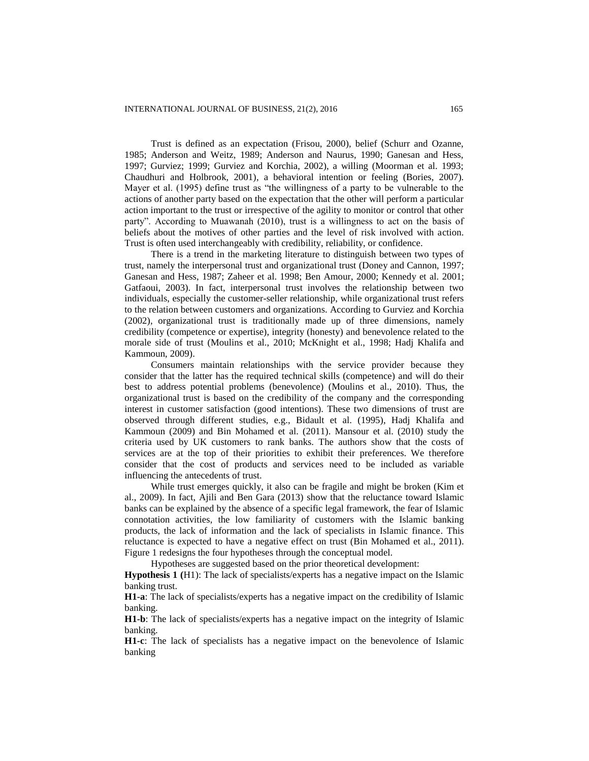Trust is defined as an expectation (Frisou, 2000), belief (Schurr and Ozanne, 1985; Anderson and Weitz, 1989; Anderson and Naurus, 1990; Ganesan and Hess, 1997; Gurviez; 1999; Gurviez and Korchia, 2002), a willing (Moorman et al. 1993; Chaudhuri and Holbrook, 2001), a behavioral intention or feeling (Bories, 2007). Mayer et al. (1995) define trust as "the willingness of a party to be vulnerable to the actions of another party based on the expectation that the other will perform a particular action important to the trust or irrespective of the agility to monitor or control that other party". According to Muawanah (2010), trust is a willingness to act on the basis of beliefs about the motives of other parties and the level of risk involved with action. Trust is often used interchangeably with credibility, reliability, or confidence.

There is a trend in the marketing literature to distinguish between two types of trust, namely the interpersonal trust and organizational trust (Doney and Cannon, 1997; Ganesan and Hess, 1987; Zaheer et al. 1998; Ben Amour, 2000; Kennedy et al. 2001; Gatfaoui, 2003). In fact, interpersonal trust involves the relationship between two individuals, especially the customer-seller relationship, while organizational trust refers to the relation between customers and organizations. According to Gurviez and Korchia (2002), organizational trust is traditionally made up of three dimensions, namely credibility (competence or expertise), integrity (honesty) and benevolence related to the morale side of trust (Moulins et al., 2010; McKnight et al., 1998; Hadj Khalifa and Kammoun, 2009).

Consumers maintain relationships with the service provider because they consider that the latter has the required technical skills (competence) and will do their best to address potential problems (benevolence) (Moulins et al., 2010). Thus, the organizational trust is based on the credibility of the company and the corresponding interest in customer satisfaction (good intentions). These two dimensions of trust are observed through different studies, e.g., Bidault et al. (1995), Hadj Khalifa and Kammoun (2009) and Bin Mohamed et al. (2011). Mansour et al. (2010) study the criteria used by UK customers to rank banks. The authors show that the costs of services are at the top of their priorities to exhibit their preferences. We therefore consider that the cost of products and services need to be included as variable influencing the antecedents of trust.

While trust emerges quickly, it also can be fragile and might be broken (Kim et al., 2009). In fact, Ajili and Ben Gara (2013) show that the reluctance toward Islamic banks can be explained by the absence of a specific legal framework, the fear of Islamic connotation activities, the low familiarity of customers with the Islamic banking products, the lack of information and the lack of specialists in Islamic finance. This reluctance is expected to have a negative effect on trust (Bin Mohamed et al., 2011). Figure 1 redesigns the four hypotheses through the conceptual model.

Hypotheses are suggested based on the prior theoretical development:

**Hypothesis 1 (**H1): The lack of specialists/experts has a negative impact on the Islamic banking trust.

**H1-a**: The lack of specialists/experts has a negative impact on the credibility of Islamic banking.

**H1-b**: The lack of specialists/experts has a negative impact on the integrity of Islamic banking.

**H1-c**: The lack of specialists has a negative impact on the benevolence of Islamic banking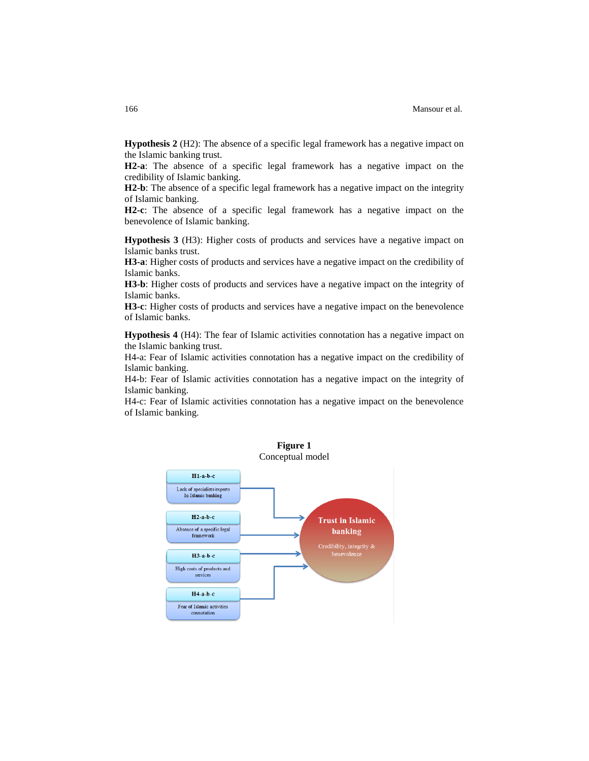**Hypothesis 2** (H2): The absence of a specific legal framework has a negative impact on the Islamic banking trust.

**H2-a**: The absence of a specific legal framework has a negative impact on the credibility of Islamic banking.

**H2-b**: The absence of a specific legal framework has a negative impact on the integrity of Islamic banking.

**H2-c**: The absence of a specific legal framework has a negative impact on the benevolence of Islamic banking.

**Hypothesis 3** (H3): Higher costs of products and services have a negative impact on Islamic banks trust.

**H3-a**: Higher costs of products and services have a negative impact on the credibility of Islamic banks.

**H3-b**: Higher costs of products and services have a negative impact on the integrity of Islamic banks.

**H3-c**: Higher costs of products and services have a negative impact on the benevolence of Islamic banks.

**Hypothesis 4** (H4): The fear of Islamic activities connotation has a negative impact on the Islamic banking trust.

H4-a: Fear of Islamic activities connotation has a negative impact on the credibility of Islamic banking.

H4-b: Fear of Islamic activities connotation has a negative impact on the integrity of Islamic banking.

H4-c: Fear of Islamic activities connotation has a negative impact on the benevolence of Islamic banking.

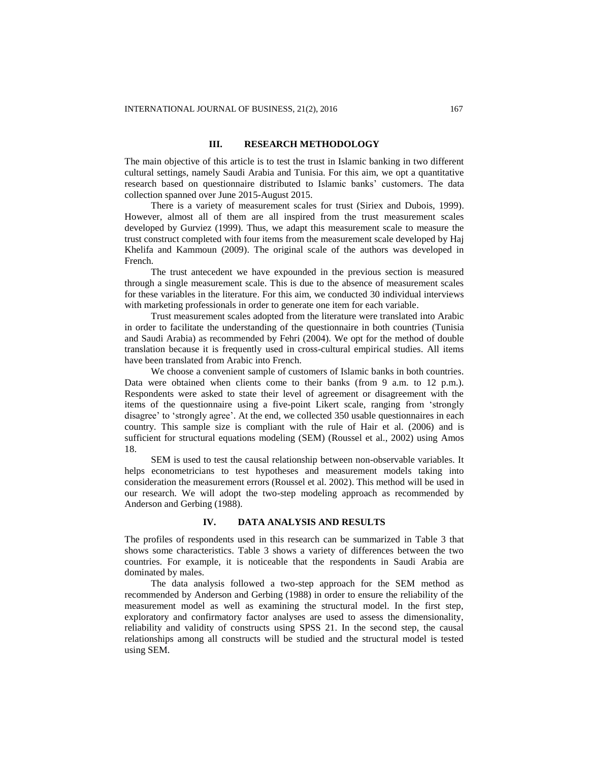# **III. RESEARCH METHODOLOGY**

The main objective of this article is to test the trust in Islamic banking in two different cultural settings, namely Saudi Arabia and Tunisia. For this aim, we opt a quantitative research based on questionnaire distributed to Islamic banks' customers. The data collection spanned over June 2015-August 2015.

There is a variety of measurement scales for trust (Siriex and Dubois, 1999). However, almost all of them are all inspired from the trust measurement scales developed by Gurviez (1999). Thus, we adapt this measurement scale to measure the trust construct completed with four items from the measurement scale developed by Haj Khelifa and Kammoun (2009). The original scale of the authors was developed in French.

The trust antecedent we have expounded in the previous section is measured through a single measurement scale. This is due to the absence of measurement scales for these variables in the literature. For this aim, we conducted 30 individual interviews with marketing professionals in order to generate one item for each variable.

Trust measurement scales adopted from the literature were translated into Arabic in order to facilitate the understanding of the questionnaire in both countries (Tunisia and Saudi Arabia) as recommended by Fehri (2004). We opt for the method of double translation because it is frequently used in cross-cultural empirical studies. All items have been translated from Arabic into French.

We choose a convenient sample of customers of Islamic banks in both countries. Data were obtained when clients come to their banks (from 9 a.m. to 12 p.m.). Respondents were asked to state their level of agreement or disagreement with the items of the questionnaire using a five-point Likert scale, ranging from 'strongly disagree' to 'strongly agree'. At the end, we collected 350 usable questionnaires in each country. This sample size is compliant with the rule of Hair et al. (2006) and is sufficient for structural equations modeling (SEM) (Roussel et al., 2002) using Amos 18.

SEM is used to test the causal relationship between non-observable variables. It helps econometricians to test hypotheses and measurement models taking into consideration the measurement errors (Roussel et al. 2002). This method will be used in our research. We will adopt the two-step modeling approach as recommended by Anderson and Gerbing (1988).

# **IV. DATA ANALYSIS AND RESULTS**

The profiles of respondents used in this research can be summarized in Table 3 that shows some characteristics. Table 3 shows a variety of differences between the two countries. For example, it is noticeable that the respondents in Saudi Arabia are dominated by males.

The data analysis followed a two-step approach for the SEM method as recommended by Anderson and Gerbing (1988) in order to ensure the reliability of the measurement model as well as examining the structural model. In the first step, exploratory and confirmatory factor analyses are used to assess the dimensionality, reliability and validity of constructs using SPSS 21. In the second step, the causal relationships among all constructs will be studied and the structural model is tested using SEM.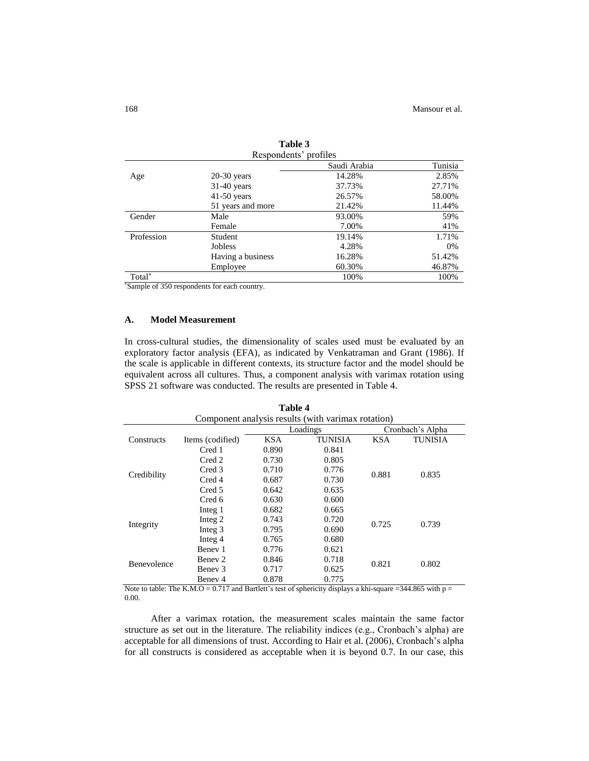| Respondents' profiles |                   |              |         |  |  |  |
|-----------------------|-------------------|--------------|---------|--|--|--|
|                       |                   | Saudi Arabia | Tunisia |  |  |  |
| Age                   | $20-30$ years     | 14.28%       | 2.85%   |  |  |  |
|                       | $31-40$ years     | 37.73%       | 27.71%  |  |  |  |
|                       | $41-50$ years     | 26.57%       | 58.00%  |  |  |  |
|                       | 51 years and more | 21.42%       | 11.44%  |  |  |  |
| Gender                | Male              | 93.00%       | 59%     |  |  |  |
|                       | Female            | 7.00%        | 41%     |  |  |  |
| Profession            | Student           | 19.14%       | 1.71%   |  |  |  |
|                       | <b>Jobless</b>    | 4.28%        | 0%      |  |  |  |
|                       | Having a business | 16.28%       | 51.42%  |  |  |  |
|                       | Employee          | 60.30%       | 46.87%  |  |  |  |
| Total <sup>*</sup>    |                   | 100%         | 100%    |  |  |  |

**Table 3**

\*Sample of 350 respondents for each country.

### **A. Model Measurement**

In cross-cultural studies, the dimensionality of scales used must be evaluated by an exploratory factor analysis (EFA), as indicated by Venkatraman and Grant (1986). If the scale is applicable in different contexts, its structure factor and the model should be equivalent across all cultures. Thus, a component analysis with varimax rotation using SPSS 21 software was conducted. The results are presented in Table 4.

**Table 4**

| 1 avie 4                                           |                  |            |                |            |                |  |  |  |  |
|----------------------------------------------------|------------------|------------|----------------|------------|----------------|--|--|--|--|
| Component analysis results (with varimax rotation) |                  |            |                |            |                |  |  |  |  |
| Cronbach's Alpha<br>Loadings                       |                  |            |                |            |                |  |  |  |  |
| Constructs                                         | Items (codified) | <b>KSA</b> | <b>TUNISIA</b> | <b>KSA</b> | <b>TUNISIA</b> |  |  |  |  |
|                                                    | Cred 1           | 0.890      | 0.841          |            |                |  |  |  |  |
|                                                    | Cred 2           | 0.730      | 0.805          |            |                |  |  |  |  |
|                                                    | Cred 3           | 0.710      | 0.776          | 0.881      | 0.835          |  |  |  |  |
| Credibility                                        | Cred 4           | 0.687      | 0.730          |            |                |  |  |  |  |
|                                                    | Cred 5           | 0.642      | 0.635          |            |                |  |  |  |  |
|                                                    | Cred 6           | 0.630      | 0.600          |            |                |  |  |  |  |
|                                                    | Integ 1          | 0.682      | 0.665          |            |                |  |  |  |  |
|                                                    | Integ 2          | 0.743      | 0.720          | 0.725      | 0.739          |  |  |  |  |
| Integrity                                          | Integ 3          | 0.795      | 0.690          |            |                |  |  |  |  |
|                                                    | Integ 4          | 0.765      | 0.680          |            |                |  |  |  |  |
|                                                    | Benev 1          | 0.776      | 0.621          |            |                |  |  |  |  |
| <b>Benevolence</b>                                 | Benev 2          | 0.846      | 0.718          |            | 0.802          |  |  |  |  |
|                                                    | Benev 3          | 0.717      | 0.821<br>0.625 |            |                |  |  |  |  |
|                                                    | Benev 4          | 0.878      | 0.775          |            |                |  |  |  |  |

Note to table: The K.M.O = 0.717 and Bartlett's test of sphericity displays a khi-square = 344.865 with  $p =$ 0.00.

After a varimax rotation, the measurement scales maintain the same factor structure as set out in the literature. The reliability indices (e.g., Cronbach's alpha) are acceptable for all dimensions of trust. According to Hair et al. (2006), Cronbach's alpha for all constructs is considered as acceptable when it is beyond 0.7. In our case, this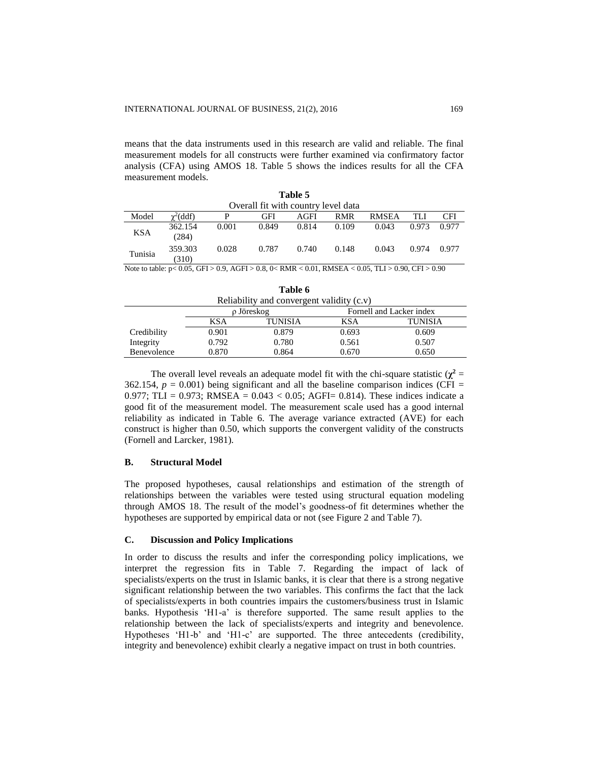means that the data instruments used in this research are valid and reliable. The final measurement models for all constructs were further examined via confirmatory factor analysis (CFA) using AMOS 18. Table 5 shows the indices results for all the CFA measurement models.

| Table 5    |                                     |       |       |       |       |              |       |       |  |  |
|------------|-------------------------------------|-------|-------|-------|-------|--------------|-------|-------|--|--|
|            | Overall fit with country level data |       |       |       |       |              |       |       |  |  |
| Model      | $\gamma^2$ (ddf)                    | P     | GFI   | AGFI  | RMR   | <b>RMSEA</b> | TLI   | CFI   |  |  |
| <b>KSA</b> | 362.154<br>(284)                    | 0.001 | 0.849 | 0.814 | 0.109 | 0.043        | 0.973 | 0.977 |  |  |
| Tunisia    | 359.303<br>(310)                    | 0.028 | 0.787 | 0.740 | 0.148 | 0.043        | 0.974 | 0.977 |  |  |

Note to table: p< 0.05, GFI > 0.9, AGFI > 0.8, 0< RMR < 0.01, RMSEA < 0.05, TLI > 0.90, CFI > 0.90

| .                                         |                                         |       |       |       |  |  |  |  |  |  |
|-------------------------------------------|-----------------------------------------|-------|-------|-------|--|--|--|--|--|--|
| Reliability and convergent validity (c.v) |                                         |       |       |       |  |  |  |  |  |  |
|                                           | Fornell and Lacker index<br>ρ Jöreskog  |       |       |       |  |  |  |  |  |  |
|                                           | KSA<br>TUNISIA<br>KSA<br><b>TUNISIA</b> |       |       |       |  |  |  |  |  |  |
| Credibility                               | 0.901                                   | 0.879 | 0.693 | 0.609 |  |  |  |  |  |  |
| Integrity                                 | 0.792                                   | 0.780 | 0.561 | 0.507 |  |  |  |  |  |  |
| Benevolence                               | 0.870                                   | 0.864 | 0.670 | 0.650 |  |  |  |  |  |  |

**Table 6**

The overall level reveals an adequate model fit with the chi-square statistic  $(\chi^2 =$ 362.154,  $p = 0.001$ ) being significant and all the baseline comparison indices (CFI = 0.977; TLI = 0.973; RMSEA = 0.043 < 0.05; AGFI= 0.814). These indices indicate a good fit of the measurement model. The measurement scale used has a good internal reliability as indicated in Table 6. The average variance extracted (AVE) for each construct is higher than 0.50, which supports the convergent validity of the constructs (Fornell and Larcker, 1981).

### **B. Structural Model**

The proposed hypotheses, causal relationships and estimation of the strength of relationships between the variables were tested using structural equation modeling through AMOS 18. The result of the model's goodness-of fit determines whether the hypotheses are supported by empirical data or not (see Figure 2 and Table 7).

#### **C. Discussion and Policy Implications**

In order to discuss the results and infer the corresponding policy implications, we interpret the regression fits in Table 7. Regarding the impact of lack of specialists/experts on the trust in Islamic banks, it is clear that there is a strong negative significant relationship between the two variables. This confirms the fact that the lack of specialists/experts in both countries impairs the customers/business trust in Islamic banks. Hypothesis 'H1-a' is therefore supported. The same result applies to the relationship between the lack of specialists/experts and integrity and benevolence. Hypotheses 'H1-b' and 'H1-c' are supported. The three antecedents (credibility, integrity and benevolence) exhibit clearly a negative impact on trust in both countries.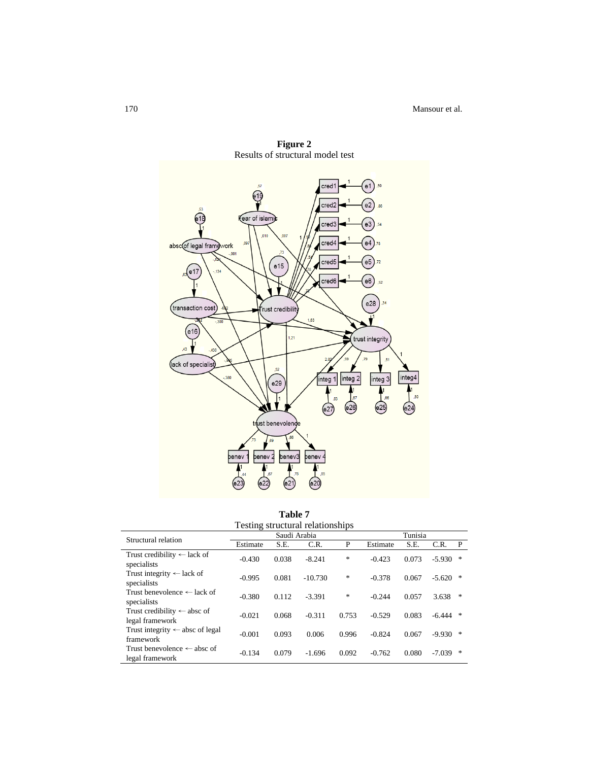

**Figure 2** Results of structural model test

| Testing structural relationships                          |              |       |           |       |          |       |            |   |
|-----------------------------------------------------------|--------------|-------|-----------|-------|----------|-------|------------|---|
| Structural relation                                       | Saudi Arabia |       |           |       | Tunisia  |       |            |   |
|                                                           | Estimate     | S.E.  | C.R.      | P     | Estimate | S.E.  | C.R.       | P |
| Trust credibility $\leftarrow$ lack of<br>specialists     | $-0.430$     | 0.038 | $-8.241$  | ∗     | $-0.423$ | 0.073 | $-5.930$   | 冰 |
| Trust integrity $\leftarrow$ lack of<br>specialists       | $-0.995$     | 0.081 | $-10.730$ | *     | $-0.378$ | 0.067 | $-5.620$   | 冰 |
| Trust benevolence $\leftarrow$ lack of<br>specialists     | $-0.380$     | 0.112 | $-3.391$  | *     | $-0.244$ | 0.057 | 3.638      | 宋 |
| Trust credibility $\leftarrow$ absc of<br>legal framework | $-0.021$     | 0.068 | $-0.311$  | 0.753 | $-0.529$ | 0.083 | $-6.444$ * |   |
| Trust integrity $\leftarrow$ absc of legal<br>framework   | $-0.001$     | 0.093 | 0.006     | 0.996 | $-0.824$ | 0.067 | $-9.930$   | 宋 |
| Trust benevolence $\leftarrow$ absc of<br>legal framework | $-0.134$     | 0.079 | $-1.696$  | 0.092 | $-0.762$ | 0.080 | $-7.039$   | 宋 |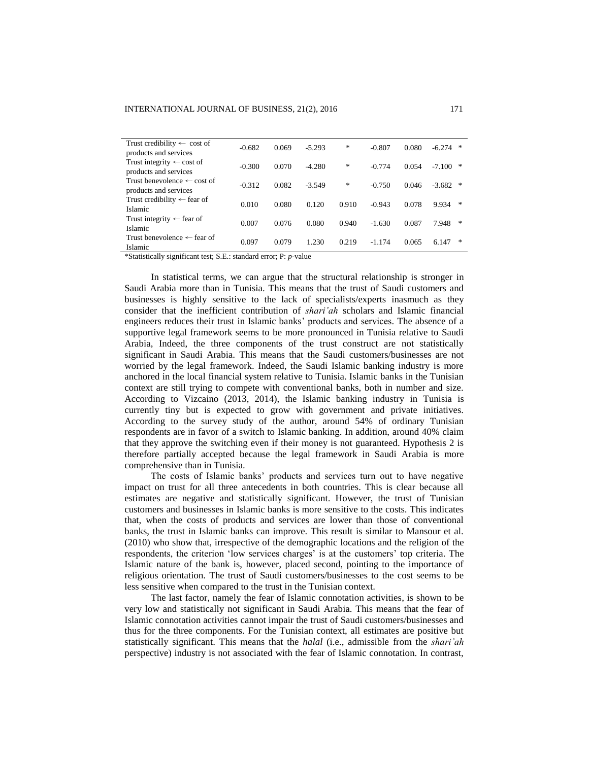| Trust credibility $\leftarrow$ cost of<br>products and services | $-0.682$ | 0.069 | $-5.293$ | $\ast$ | $-0.807$ | 0.080 | $-6.274$<br>∗ |
|-----------------------------------------------------------------|----------|-------|----------|--------|----------|-------|---------------|
| Trust integrity $\leftarrow$ cost of<br>products and services   | $-0.300$ | 0.070 | $-4.280$ | ∗      | $-0.774$ | 0.054 | $-7.100$<br>∗ |
| Trust benevolence $\leftarrow$ cost of<br>products and services | $-0.312$ | 0.082 | $-3.549$ | *      | $-0.750$ | 0.046 | $-3.682$<br>冰 |
| Trust credibility $\leftarrow$ fear of<br>Islamic               | 0.010    | 0.080 | 0.120    | 0.910  | $-0.943$ | 0.078 | 9.934<br>∗    |
| Trust integrity $\leftarrow$ fear of<br>Islamic                 | 0.007    | 0.076 | 0.080    | 0.940  | $-1.630$ | 0.087 | *<br>7.948    |
| Trust benevolence $\leftarrow$ fear of<br>Islamic               | 0.097    | 0.079 | 1.230    | 0.219  | $-1.174$ | 0.065 | ∗<br>6.147    |

\*Statistically significant test; S.E.: standard error; P: *p*-value

In statistical terms, we can argue that the structural relationship is stronger in Saudi Arabia more than in Tunisia. This means that the trust of Saudi customers and businesses is highly sensitive to the lack of specialists/experts inasmuch as they consider that the inefficient contribution of *shari'ah* scholars and Islamic financial engineers reduces their trust in Islamic banks' products and services. The absence of a supportive legal framework seems to be more pronounced in Tunisia relative to Saudi Arabia, Indeed, the three components of the trust construct are not statistically significant in Saudi Arabia. This means that the Saudi customers/businesses are not worried by the legal framework. Indeed, the Saudi Islamic banking industry is more anchored in the local financial system relative to Tunisia. Islamic banks in the Tunisian context are still trying to compete with conventional banks, both in number and size. According to Vizcaino (2013, 2014), the Islamic banking industry in Tunisia is currently tiny but is expected to grow with government and private initiatives. According to the survey study of the author, around 54% of ordinary Tunisian respondents are in favor of a switch to Islamic banking. In addition, around 40% claim that they approve the switching even if their money is not guaranteed. Hypothesis 2 is therefore partially accepted because the legal framework in Saudi Arabia is more comprehensive than in Tunisia.

The costs of Islamic banks' products and services turn out to have negative impact on trust for all three antecedents in both countries. This is clear because all estimates are negative and statistically significant. However, the trust of Tunisian customers and businesses in Islamic banks is more sensitive to the costs. This indicates that, when the costs of products and services are lower than those of conventional banks, the trust in Islamic banks can improve. This result is similar to Mansour et al. (2010) who show that, irrespective of the demographic locations and the religion of the respondents, the criterion 'low services charges' is at the customers' top criteria. The Islamic nature of the bank is, however, placed second, pointing to the importance of religious orientation. The trust of Saudi customers/businesses to the cost seems to be less sensitive when compared to the trust in the Tunisian context.

The last factor, namely the fear of Islamic connotation activities, is shown to be very low and statistically not significant in Saudi Arabia. This means that the fear of Islamic connotation activities cannot impair the trust of Saudi customers/businesses and thus for the three components. For the Tunisian context, all estimates are positive but statistically significant. This means that the *halal* (i.e., admissible from the *shari'ah* perspective) industry is not associated with the fear of Islamic connotation. In contrast,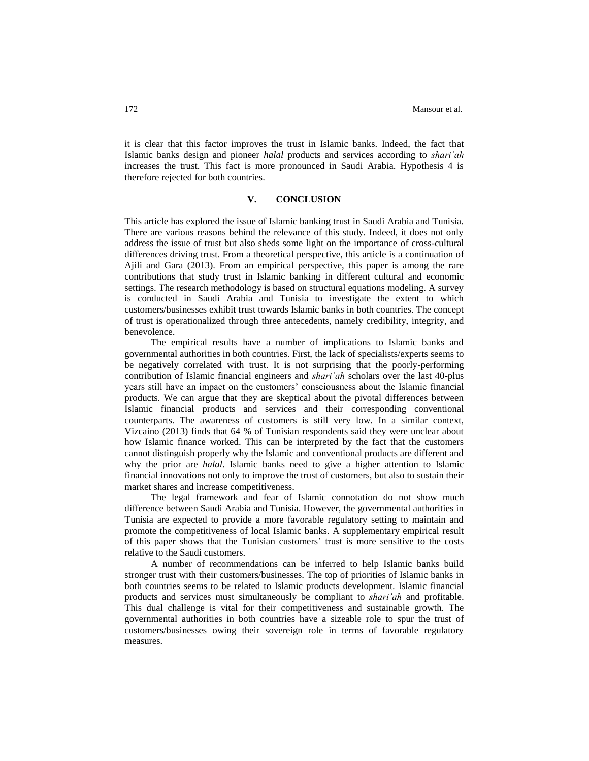it is clear that this factor improves the trust in Islamic banks. Indeed, the fact that Islamic banks design and pioneer *halal* products and services according to *shari'ah* increases the trust. This fact is more pronounced in Saudi Arabia. Hypothesis 4 is therefore rejected for both countries.

### **V. CONCLUSION**

This article has explored the issue of Islamic banking trust in Saudi Arabia and Tunisia. There are various reasons behind the relevance of this study. Indeed, it does not only address the issue of trust but also sheds some light on the importance of cross-cultural differences driving trust. From a theoretical perspective, this article is a continuation of Ajili and Gara (2013). From an empirical perspective, this paper is among the rare contributions that study trust in Islamic banking in different cultural and economic settings. The research methodology is based on structural equations modeling. A survey is conducted in Saudi Arabia and Tunisia to investigate the extent to which customers/businesses exhibit trust towards Islamic banks in both countries. The concept of trust is operationalized through three antecedents, namely credibility, integrity, and benevolence.

The empirical results have a number of implications to Islamic banks and governmental authorities in both countries. First, the lack of specialists/experts seems to be negatively correlated with trust. It is not surprising that the poorly-performing contribution of Islamic financial engineers and *shari'ah* scholars over the last 40-plus years still have an impact on the customers' consciousness about the Islamic financial products. We can argue that they are skeptical about the pivotal differences between Islamic financial products and services and their corresponding conventional counterparts. The awareness of customers is still very low. In a similar context, Vizcaino (2013) finds that 64 % of Tunisian respondents said they were unclear about how Islamic finance worked. This can be interpreted by the fact that the customers cannot distinguish properly why the Islamic and conventional products are different and why the prior are *halal*. Islamic banks need to give a higher attention to Islamic financial innovations not only to improve the trust of customers, but also to sustain their market shares and increase competitiveness.

The legal framework and fear of Islamic connotation do not show much difference between Saudi Arabia and Tunisia. However, the governmental authorities in Tunisia are expected to provide a more favorable regulatory setting to maintain and promote the competitiveness of local Islamic banks. A supplementary empirical result of this paper shows that the Tunisian customers' trust is more sensitive to the costs relative to the Saudi customers.

A number of recommendations can be inferred to help Islamic banks build stronger trust with their customers/businesses. The top of priorities of Islamic banks in both countries seems to be related to Islamic products development. Islamic financial products and services must simultaneously be compliant to *shari'ah* and profitable. This dual challenge is vital for their competitiveness and sustainable growth. The governmental authorities in both countries have a sizeable role to spur the trust of customers/businesses owing their sovereign role in terms of favorable regulatory measures.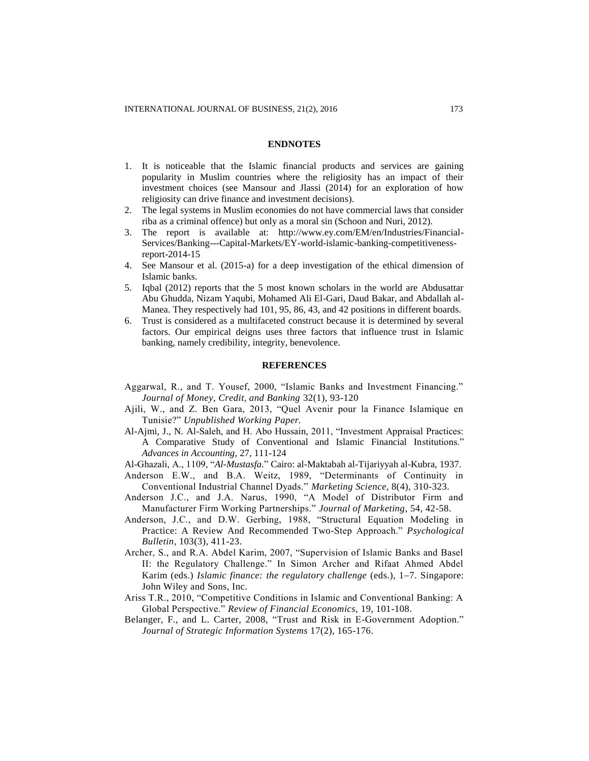#### **ENDNOTES**

- 1. It is noticeable that the Islamic financial products and services are gaining popularity in Muslim countries where the religiosity has an impact of their investment choices (see Mansour and Jlassi (2014) for an exploration of how religiosity can drive finance and investment decisions).
- 2. The legal systems in Muslim economies do not have commercial laws that consider riba as a criminal offence) but only as a moral sin (Schoon and Nuri, 2012).
- 3. The report is available at: http://www.ey.com/EM/en/Industries/Financial-Services/Banking---Capital-Markets/EY-world-islamic-banking-competitivenessreport-2014-15
- 4. See Mansour et al. (2015-a) for a deep investigation of the ethical dimension of Islamic banks.
- 5. Iqbal (2012) reports that the 5 most known scholars in the world are Abdusattar Abu Ghudda, Nizam Yaqubi, Mohamed Ali El-Gari, Daud Bakar, and Abdallah al-Manea. They respectively had 101, 95, 86, 43, and 42 positions in different boards.
- 6. Trust is considered as a multifaceted construct because it is determined by several factors. Our empirical deigns uses three factors that influence trust in Islamic banking, namely credibility, integrity, benevolence.

# **REFERENCES**

- Aggarwal, R., and T. Yousef, 2000, "Islamic Banks and Investment Financing." *Journal of Money, Credit, and Banking* 32(1), 93-120
- Ajili, W., and Z. Ben Gara, 2013, "Quel Avenir pour la Finance Islamique en Tunisie?" *Unpublished Working Paper.*
- Al-Ajmi, J., N. Al-Saleh, and H. Abo Hussain, 2011, "Investment Appraisal Practices: A Comparative Study of Conventional and Islamic Financial Institutions." *Advances in Accounting,* 27, 111-124
- Al-Ghazali, A., 1109, "*Al-Mustasfa.*" Cairo: al-Maktabah al-Tijariyyah al-Kubra, 1937.
- Anderson E.W., and B.A. Weitz, 1989, "Determinants of Continuity in Conventional Industrial Channel Dyads." *Marketing Science*, 8(4), 310-323.
- Anderson J.C., and J.A. Narus, 1990, "A Model of Distributor Firm and Manufacturer Firm Working Partnerships." *Journal of Marketing*, 54, 42-58.
- Anderson, J.C., and D.W. Gerbing, 1988, "Structural Equation Modeling in Practice: A Review And Recommended Two-Step Approach." *Psychological Bulletin*, 103(3), 411-23.
- Archer, S., and R.A. Abdel Karim, 2007, "Supervision of Islamic Banks and Basel II: the Regulatory Challenge." In Simon Archer and Rifaat Ahmed Abdel Karim (eds.) *Islamic finance: the regulatory challenge* (eds.), 1–7. Singapore: John Wiley and Sons, Inc.
- Ariss T.R., 2010, "Competitive Conditions in Islamic and Conventional Banking: A Global Perspective." *Review of Financial Economics,* 19, 101-108.
- Belanger, F., and L. Carter, 2008, "Trust and Risk in E-Government Adoption." *Journal of Strategic Information Systems* 17(2), 165-176.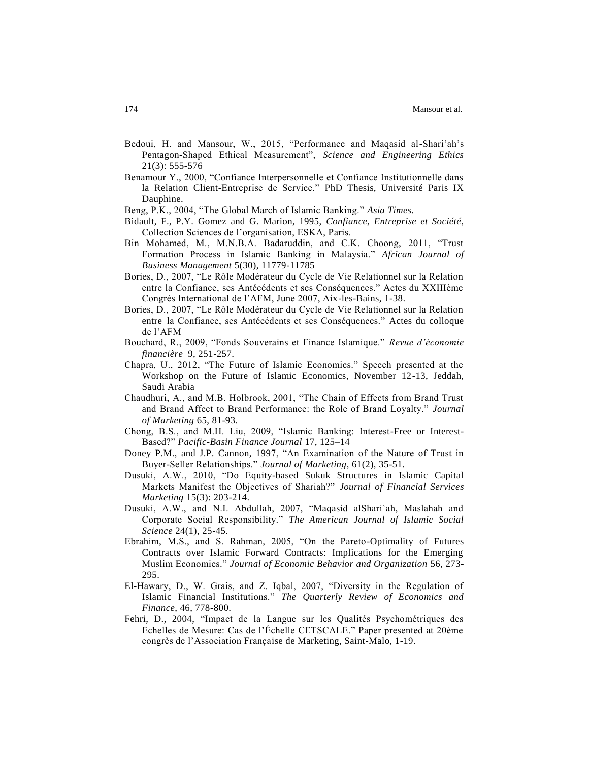- Bedoui, H. and Mansour, W., 2015, "Performance and Maqasid al-Shari'ah's Pentagon-Shaped Ethical Measurement", *Science and Engineering Ethics* 21(3): 555-576
- Benamour Y., 2000, "Confiance Interpersonnelle et Confiance Institutionnelle dans la Relation Client-Entreprise de Service." PhD Thesis, Université Paris IX Dauphine.
- Beng, P.K., 2004, "The Global March of Islamic Banking." *Asia Times.*
- Bidault, F., P.Y. Gomez and G. Marion, 1995, *Confiance, Entreprise et Société*, Collection Sciences de l'organisation, ESKA, Paris.
- Bin Mohamed, M., M.N.B.A. Badaruddin, and C.K. Choong, 2011, "Trust Formation Process in Islamic Banking in Malaysia." *African Journal of Business Management* 5(30), 11779-11785
- Bories, D., 2007, "Le Rôle Modérateur du Cycle de Vie Relationnel sur la Relation entre la Confiance, ses Antécédents et ses Conséquences." Actes du XXIIIème Congrès International de l'AFM, June 2007, Aix-les-Bains, 1-38.
- Bories, D., 2007, "Le Rôle Modérateur du Cycle de Vie Relationnel sur la Relation entre la Confiance, ses Antécédents et ses Conséquences." Actes du colloque de l'AFM
- Bouchard, R., 2009, "Fonds Souverains et Finance Islamique." *Revue d'économie financière* 9, 251-257.
- Chapra, U., 2012, "The Future of Islamic Economics." Speech presented at the Workshop on the Future of Islamic Economics, November 12-13, Jeddah, Saudi Arabia
- Chaudhuri, A., and M.B. Holbrook, 2001, "The Chain of Effects from Brand Trust and Brand Affect to Brand Performance: the Role of Brand Loyalty." *Journal of Marketing* 65, 81-93.
- Chong, B.S., and M.H. Liu, 2009, "Islamic Banking: Interest-Free or Interest-Based?" *Pacific-Basin Finance Journal* 17, 125–14
- Doney P.M., and J.P. Cannon, 1997, "An Examination of the Nature of Trust in Buyer-Seller Relationships." *Journal of Marketing*, 61(2), 35-51.
- Dusuki, A.W., 2010, "Do Equity-based Sukuk Structures in Islamic Capital Markets Manifest the Objectives of Shariah?" *Journal of Financial Services Marketing* 15(3): 203-214.
- Dusuki, A.W., and N.I. Abdullah, 2007, "Maqasid alShari`ah, Maslahah and Corporate Social Responsibility." *The American Journal of Islamic Social Science* 24(1), 25-45.
- Ebrahim, M.S., and S. Rahman, 2005, "On the Pareto-Optimality of Futures Contracts over Islamic Forward Contracts: Implications for the Emerging Muslim Economies." *Journal of Economic Behavior and Organization* 56, 273- 295.
- El-Hawary, D., W. Grais, and Z. Iqbal, 2007, "Diversity in the Regulation of Islamic Financial Institutions." *The Quarterly Review of Economics and Finance*, 46, 778-800.
- Fehri, D., 2004, "Impact de la Langue sur les Qualités Psychométriques des Echelles de Mesure: Cas de l'Échelle CETSCALE." Paper presented at 20ème congrès de l'Association Française de Marketing, Saint-Malo, 1-19.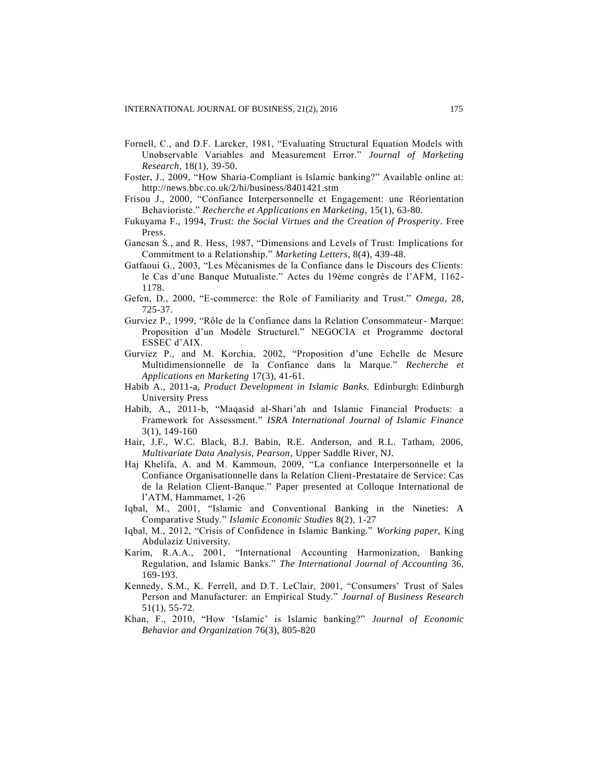- Fornell, C., and D.F. Larcker, 1981, "Evaluating Structural Equation Models with Unobservable Variables and Measurement Error." *Journal of Marketing Research*, 18(1), 39-50.
- Foster, J., 2009, "How Sharia-Compliant is Islamic banking?" Available online at: <http://news.bbc.co.uk/2/hi/business/8401421.stm>
- Frisou J., 2000, "Confiance Interpersonnelle et Engagement: une Réorientation Behavioriste." *Recherche et Applications en Marketing*, 15(1), 63-80.
- Fukuyama F., 1994, *Trust: the Social Virtues and the Creation of Prosperity*. Free Press.
- Ganesan S., and R. Hess, 1987, "Dimensions and Levels of Trust: Implications for Commitment to a Relationship." *Marketing Letters*, 8(4), 439-48.
- Gatfaoui G., 2003, "Les Mécanismes de la Confiance dans le Discours des Clients: le Cas d'une Banque Mutualiste." Actes du 19ème congrès de l'AFM, 1162- 1178.
- Gefen, D., 2000, "E-commerce: the Role of Familiarity and Trust." *Omega*, 28, 725-37.
- Gurviez P., 1999, "Rôle de la Confiance dans la Relation Consommateur- Marque: Proposition d'un Modèle Structurel." NEGOCIA et Programme doctoral ESSEC d'AIX.
- Gurviez P., and M. Korchia, 2002, "Proposition d'une Echelle de Mesure Multidimensionnelle de la Confiance dans la Marque." *Recherche et Applications en Marketing* 17(3), 41-61.
- Habib A., 2011-a, *Product Development in Islamic Banks.* Edinburgh: Edinburgh University Press
- Habib, A., 2011-b, "Maqasid al-Shari'ah and Islamic Financial Products: a Framework for Assessment." *ISRA International Journal of Islamic Finance* 3(1), 149-160
- Hair, J.F., W.C. Black, B.J. Babin, R.E. Anderson, and R.L. Tatham, 2006, *Multivariate Data Analysis, Pearson*, Upper Saddle River, NJ.
- Haj Khelifa, A. and M. Kammoun, 2009, "La confiance Interpersonnelle et la Confiance Organisationnelle dans la Relation Client-Prestataire de Service: Cas de la Relation Client-Banque." Paper presented at Colloque International de l'ATM, Hammamet, 1-26
- Iqbal, M., 2001, "Islamic and Conventional Banking in the Nineties: A Comparative Study." *Islamic Economic Studies* 8(2), 1-27
- Iqbal, M., 2012, "Crisis of Confidence in Islamic Banking." *Working paper,* King Abdulaziz University.
- Karim, R.A.A., 2001, "International Accounting Harmonization, Banking Regulation, and Islamic Banks." *The International Journal of Accounting* 36, 169-193.
- Kennedy, S.M., K. Ferrell, and D.T. LeClair, 2001, "Consumers' Trust of Sales Person and Manufacturer: an Empirical Study." *Journal of Business Research* 51(1), 55-72.
- Khan, F., 2010, "How 'Islamic' is Islamic banking?" *Journal of Economic Behavior and Organization* 76(3), 805-820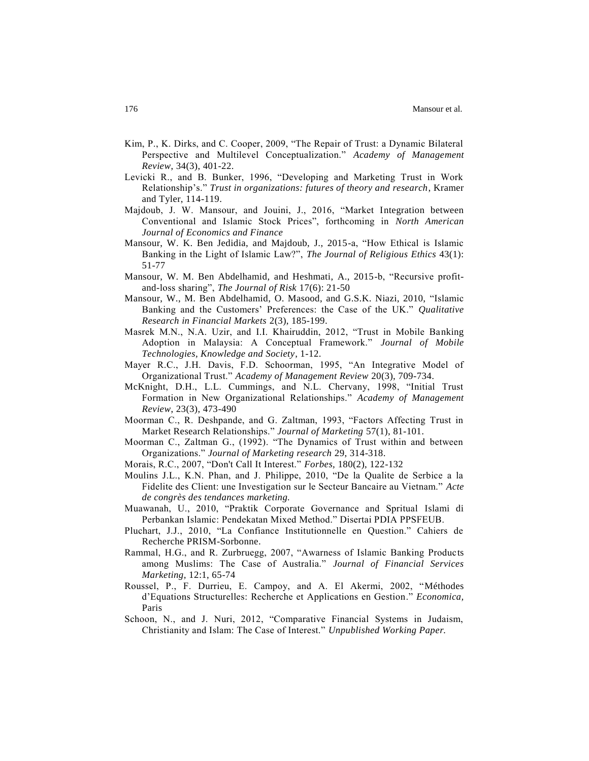- Kim, P., K. Dirks, and C. Cooper, 2009, "The Repair of Trust: a Dynamic Bilateral Perspective and Multilevel Conceptualization." *Academy of Management Review*, 34(3), 401-22.
- Levicki R., and B. Bunker, 1996, "Developing and Marketing Trust in Work Relationship's." *Trust in organizations: futures of theory and research*, Kramer and Tyler, 114-119.
- Majdoub, J. W. Mansour, and Jouini, J., 2016, "Market Integration between Conventional and Islamic Stock Prices", forthcoming in *North American Journal of Economics and Finance*
- Mansour, W. K. Ben Jedidia, and Majdoub, J., 2015-a, "How Ethical is Islamic Banking in the Light of Islamic Law?", *The Journal of Religious Ethics* 43(1): 51-77
- Mansour, W. M. Ben Abdelhamid, and Heshmati, A., 2015-b, "Recursive profitand-loss sharing", *The Journal of Risk* 17(6): 21-50
- Mansour, W., M. Ben Abdelhamid, O. Masood, and G.S.K. Niazi, 2010, "Islamic Banking and the Customers' Preferences: the Case of the UK." *Qualitative Research in Financial Markets* 2(3), 185-199.
- Masrek M.N., N.A. Uzir, and I.I. Khairuddin, 2012, "Trust in Mobile Banking Adoption in Malaysia: A Conceptual Framework." *Journal of Mobile Technologies, Knowledge and Society*, 1-12.
- Mayer R.C., J.H. Davis, F.D. Schoorman, 1995, "An Integrative Model of Organizational Trust." *Academy of Management Review* 20(3), 709-734.
- McKnight, D.H., L.L. Cummings, and N.L. Chervany, 1998, "Initial Trust Formation in New Organizational Relationships." *Academy of Management Review*, 23(3), 473-490
- Moorman C., R. Deshpande, and G. Zaltman, 1993, "Factors Affecting Trust in Market Research Relationships." *Journal of Marketing* 57(1), 81-101.
- Moorman C., Zaltman G., (1992). "The Dynamics of Trust within and between Organizations." *Journal of Marketing research* 29, 314-318.
- Morais, R.C., 2007, "Don't Call It Interest." *Forbes,* 180(2), 122-132
- Moulins J.L., K.N. Phan, and J. Philippe, 2010, "De la Qualite de Serbice a la Fidelite des Client: une Investigation sur le Secteur Bancaire au Vietnam." *Acte de congrès des tendances marketing.*
- Muawanah, U., 2010, "Praktik Corporate Governance and Spritual Islami di Perbankan Islamic: Pendekatan Mixed Method." Disertai PDIA PPSFEUB.
- Pluchart, J.J., 2010, "La Confiance Institutionnelle en Question." Cahiers de Recherche PRISM-Sorbonne.
- Rammal, H.G., and R. Zurbruegg, 2007, "Awarness of Islamic Banking Products among Muslims: The Case of Australia." *Journal of Financial Services Marketing,* 12:1, 65-74
- Roussel, P., F. Durrieu, E. Campoy, and A. El Akermi, 2002, "Méthodes d'Equations Structurelles: Recherche et Applications en Gestion." *Economica,* Paris
- Schoon, N., and J. Nuri, 2012, "Comparative Financial Systems in Judaism, Christianity and Islam: The Case of Interest." *Unpublished Working Paper.*